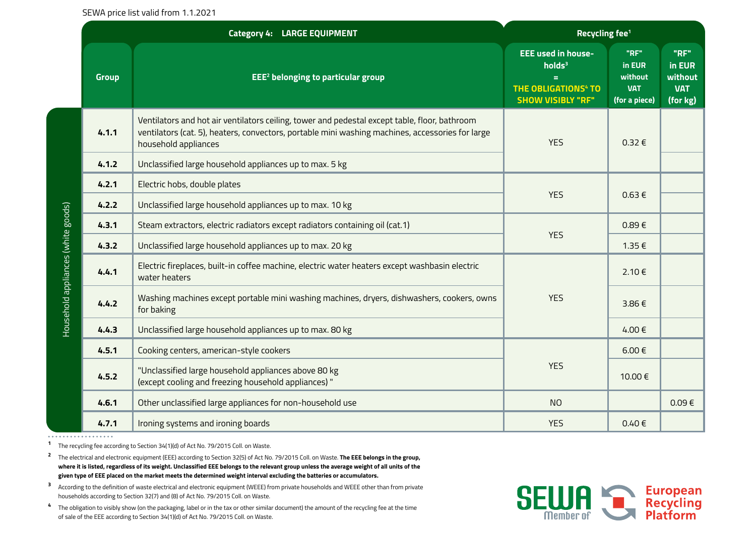|                                    |              | <b>Category 4: LARGE EQUIPMENT</b>                                                                                                                                                                                        |                                                                                                                             | Recycling fee <sup>1</sup>                               |                                                     |  |
|------------------------------------|--------------|---------------------------------------------------------------------------------------------------------------------------------------------------------------------------------------------------------------------------|-----------------------------------------------------------------------------------------------------------------------------|----------------------------------------------------------|-----------------------------------------------------|--|
|                                    | <b>Group</b> | EEE <sup>2</sup> belonging to particular group                                                                                                                                                                            | <b>EEE used in house-</b><br>holds <sup>3</sup><br>$=$<br><b>THE OBLIGATIONS<sup>4</sup> TO</b><br><b>SHOW VISIBLY "RF"</b> | "RF"<br>in EUR<br>without<br><b>VAT</b><br>(for a piece) | "RF"<br>in EUR<br>without<br><b>VAT</b><br>(for kg) |  |
|                                    | 4.1.1        | Ventilators and hot air ventilators ceiling, tower and pedestal except table, floor, bathroom<br>ventilators (cat. 5), heaters, convectors, portable mini washing machines, accessories for large<br>household appliances | <b>YES</b>                                                                                                                  | $0.32 \in$                                               |                                                     |  |
|                                    | 4.1.2        | Unclassified large household appliances up to max. 5 kg                                                                                                                                                                   |                                                                                                                             |                                                          |                                                     |  |
|                                    | 4.2.1        | Electric hobs, double plates                                                                                                                                                                                              | <b>YES</b>                                                                                                                  | $0.63 \in$                                               |                                                     |  |
|                                    | 4.2.2        | Unclassified large household appliances up to max. 10 kg                                                                                                                                                                  |                                                                                                                             |                                                          |                                                     |  |
|                                    | 4.3.1        | Steam extractors, electric radiators except radiators containing oil (cat.1)                                                                                                                                              |                                                                                                                             | 0.89€                                                    |                                                     |  |
|                                    | 4.3.2        | Unclassified large household appliances up to max. 20 kg                                                                                                                                                                  | <b>YES</b>                                                                                                                  | 1.35€                                                    |                                                     |  |
| Household appliances (white goods) | 4.4.1        | Electric fireplaces, built-in coffee machine, electric water heaters except washbasin electric<br>water heaters                                                                                                           |                                                                                                                             | 2.10€                                                    |                                                     |  |
|                                    | 4.4.2        | Washing machines except portable mini washing machines, dryers, dishwashers, cookers, owns<br>for baking                                                                                                                  | <b>YES</b>                                                                                                                  | 3.86€                                                    |                                                     |  |
|                                    | 4.4.3        | Unclassified large household appliances up to max. 80 kg                                                                                                                                                                  |                                                                                                                             | 4.00€                                                    |                                                     |  |
|                                    | 4.5.1        | Cooking centers, american-style cookers                                                                                                                                                                                   |                                                                                                                             | $6.00 \in$                                               |                                                     |  |
|                                    | 4.5.2        | "Unclassified large household appliances above 80 kg<br>(except cooling and freezing household appliances) "                                                                                                              | <b>YES</b>                                                                                                                  | 10.00€                                                   |                                                     |  |
|                                    | 4.6.1        | Other unclassified large appliances for non-household use                                                                                                                                                                 | <b>NO</b>                                                                                                                   |                                                          | $0.09 \in$                                          |  |
|                                    | 4.7.1        | Ironing systems and ironing boards                                                                                                                                                                                        | <b>YES</b>                                                                                                                  | $0.40 \in$                                               |                                                     |  |

. . . . . . . . . . . . . . . . . .

**<sup>1</sup>**The recycling fee according to Section 34(1)(d) of Act No. 79/2015 Coll. on Waste.

**<sup>2</sup>** The electrical and electronic equipment (EEE) according to Section 32(5) of Act No. 79/2015 Coll. on Waste. **The EEE belongs in the group, where it is listed, regardless of its weight. Unclassified EEE belongs to the relevant group unless the average weight of all units of the given type of EEE placed on the market meets the determined weight interval excluding the batteries or accumulators.**

**3** According to the definition of waste electrical and electronic equipment (WEEE) from private households and WEEE other than from private households according to Section 32(7) and (8) of Act No. 79/2015 Coll. on Waste.

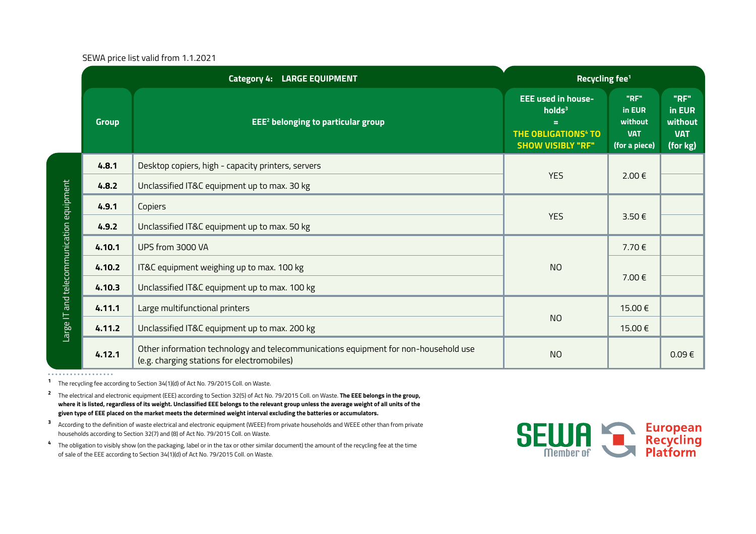|                                          | <b>Category 4: LARGE EQUIPMENT</b> |                                                                                                                                    | Recycling fee <sup>1</sup>                                                                                                  |                                                          |                                                     |  |
|------------------------------------------|------------------------------------|------------------------------------------------------------------------------------------------------------------------------------|-----------------------------------------------------------------------------------------------------------------------------|----------------------------------------------------------|-----------------------------------------------------|--|
|                                          | <b>Group</b>                       | EEE <sup>2</sup> belonging to particular group                                                                                     | <b>EEE used in house-</b><br>holds <sup>3</sup><br>$=$<br><b>THE OBLIGATIONS<sup>4</sup> TO</b><br><b>SHOW VISIBLY "RF"</b> | "RF"<br>in EUR<br>without<br><b>VAT</b><br>(for a piece) | "RF"<br>in EUR<br>without<br><b>VAT</b><br>(for kg) |  |
|                                          | 4.8.1                              | Desktop copiers, high - capacity printers, servers                                                                                 |                                                                                                                             |                                                          |                                                     |  |
|                                          | 4.8.2                              | Unclassified IT&C equipment up to max. 30 kg                                                                                       | <b>YES</b>                                                                                                                  | 2.00€                                                    |                                                     |  |
|                                          | 4.9.1                              | Copiers                                                                                                                            | <b>YES</b>                                                                                                                  | 3.50€                                                    |                                                     |  |
|                                          | 4.9.2                              | Unclassified IT&C equipment up to max. 50 kg                                                                                       |                                                                                                                             |                                                          |                                                     |  |
| Large IT and telecommunication equipment | 4.10.1                             | UPS from 3000 VA                                                                                                                   | <b>NO</b>                                                                                                                   | 7.70€                                                    |                                                     |  |
|                                          | 4.10.2                             | IT&C equipment weighing up to max. 100 kg                                                                                          |                                                                                                                             |                                                          |                                                     |  |
|                                          | 4.10.3                             | Unclassified IT&C equipment up to max. 100 kg                                                                                      |                                                                                                                             | 7.00€                                                    |                                                     |  |
|                                          | 4.11.1                             | Large multifunctional printers                                                                                                     | <b>NO</b>                                                                                                                   | 15.00€                                                   |                                                     |  |
|                                          | 4.11.2                             | Unclassified IT&C equipment up to max. 200 kg                                                                                      |                                                                                                                             | 15.00€                                                   |                                                     |  |
|                                          | 4.12.1                             | Other information technology and telecommunications equipment for non-household use<br>(e.g. charging stations for electromobiles) | <b>NO</b>                                                                                                                   |                                                          | $0.09 \in$                                          |  |

. . . . . . . . . . . . . . . . . .

**<sup>1</sup>**The recycling fee according to Section 34(1)(d) of Act No. 79/2015 Coll. on Waste.

**<sup>2</sup>** The electrical and electronic equipment (EEE) according to Section 32(5) of Act No. 79/2015 Coll. on Waste. **The EEE belongs in the group, where it is listed, regardless of its weight. Unclassified EEE belongs to the relevant group unless the average weight of all units of the given type of EEE placed on the market meets the determined weight interval excluding the batteries or accumulators.**

**3** According to the definition of waste electrical and electronic equipment (WEEE) from private households and WEEE other than from private households according to Section 32(7) and (8) of Act No. 79/2015 Coll. on Waste.

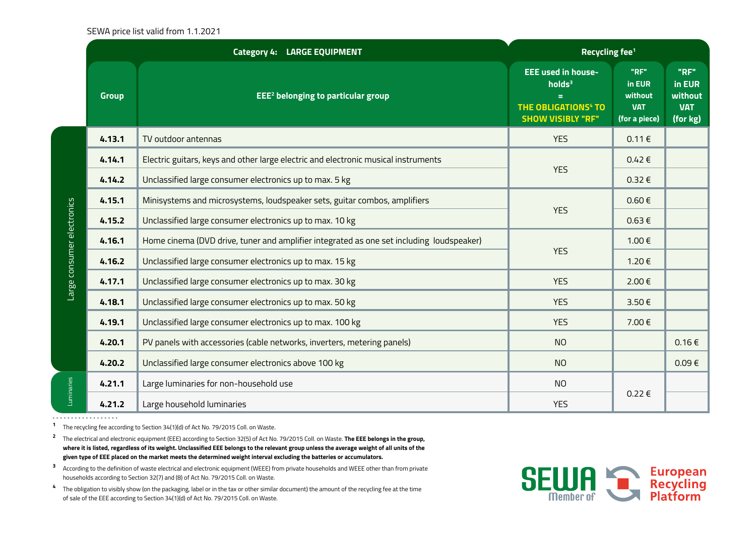|                            |              | Recycling fee <sup>1</sup><br><b>Category 4: LARGE EQUIPMENT</b>                         |                                                                                                                      |                                                          |                                                     |
|----------------------------|--------------|------------------------------------------------------------------------------------------|----------------------------------------------------------------------------------------------------------------------|----------------------------------------------------------|-----------------------------------------------------|
|                            | <b>Group</b> | EEE <sup>2</sup> belonging to particular group                                           | <b>EEE used in house-</b><br>holds <sup>3</sup><br><b>THE OBLIGATIONS<sup>4</sup> TO</b><br><b>SHOW VISIBLY "RF"</b> | "RF"<br>in EUR<br>without<br><b>VAT</b><br>(for a piece) | "RF"<br>in EUR<br>without<br><b>VAT</b><br>(for kg) |
|                            | 4.13.1       | TV outdoor antennas                                                                      | <b>YES</b>                                                                                                           | $0.11 \in$                                               |                                                     |
|                            | 4.14.1       | Electric guitars, keys and other large electric and electronic musical instruments       | <b>YES</b>                                                                                                           | $0.42 \in$                                               |                                                     |
|                            | 4.14.2       | Unclassified large consumer electronics up to max. 5 kg                                  |                                                                                                                      | $0.32 \in$                                               |                                                     |
|                            | 4.15.1       | Minisystems and microsystems, loudspeaker sets, guitar combos, amplifiers                |                                                                                                                      | $0.60 \in$                                               |                                                     |
|                            | 4.15.2       | Unclassified large consumer electronics up to max. 10 kg                                 | <b>YES</b>                                                                                                           | $0.63 \in$                                               |                                                     |
|                            | 4.16.1       | Home cinema (DVD drive, tuner and amplifier integrated as one set including loudspeaker) |                                                                                                                      | 1.00 €                                                   |                                                     |
|                            | 4.16.2       | Unclassified large consumer electronics up to max. 15 kg                                 | <b>YES</b>                                                                                                           | 1.20€                                                    |                                                     |
| Large consumer electronics | 4.17.1       | Unclassified large consumer electronics up to max. 30 kg                                 | <b>YES</b>                                                                                                           | 2.00€                                                    |                                                     |
|                            | 4.18.1       | Unclassified large consumer electronics up to max. 50 kg                                 | <b>YES</b>                                                                                                           | 3.50€                                                    |                                                     |
|                            | 4.19.1       | Unclassified large consumer electronics up to max. 100 kg                                | <b>YES</b>                                                                                                           | 7.00€                                                    |                                                     |
|                            | 4.20.1       | PV panels with accessories (cable networks, inverters, metering panels)                  | <b>NO</b>                                                                                                            |                                                          | $0.16 \in$                                          |
|                            | 4.20.2       | Unclassified large consumer electronics above 100 kg                                     | <b>NO</b>                                                                                                            |                                                          | $0.09 \in$                                          |
| Luminaries                 | 4.21.1       | Large luminaries for non-household use                                                   | <b>NO</b>                                                                                                            |                                                          |                                                     |
|                            | 4.21.2       | Large household luminaries                                                               | <b>YES</b>                                                                                                           | $0.22 \in$                                               |                                                     |

. . . . . . . . . . . . . . . . . .

**<sup>1</sup>**The recycling fee according to Section 34(1)(d) of Act No. 79/2015 Coll. on Waste.

**<sup>2</sup>** The electrical and electronic equipment (EEE) according to Section 32(5) of Act No. 79/2015 Coll. on Waste. **The EEE belongs in the group, where it is listed, regardless of its weight. Unclassified EEE belongs to the relevant group unless the average weight of all units of the given type of EEE placed on the market meets the determined weight interval excluding the batteries or accumulators.**

**3** According to the definition of waste electrical and electronic equipment (WEEE) from private households and WEEE other than from private households according to Section 32(7) and (8) of Act No. 79/2015 Coll. on Waste.

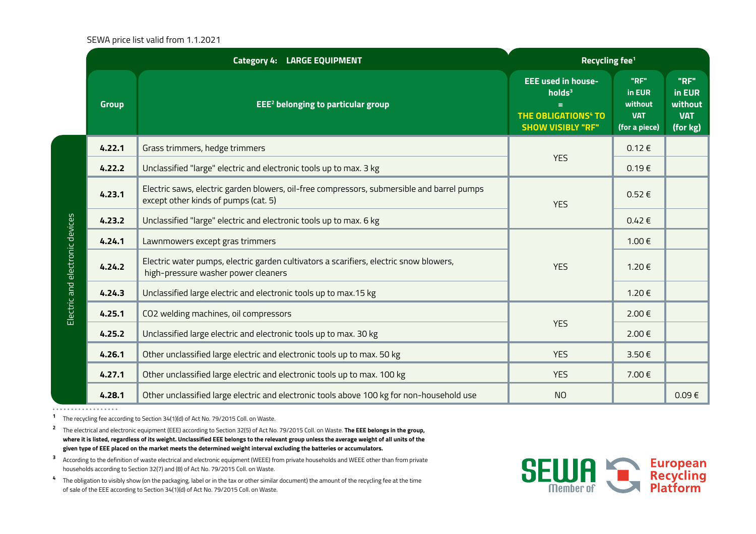|                                 |              | <b>Category 4: LARGE EQUIPMENT</b>                                                                                                 | Recycling fee <sup>1</sup>                                                                                                  |                                                          |                                                     |
|---------------------------------|--------------|------------------------------------------------------------------------------------------------------------------------------------|-----------------------------------------------------------------------------------------------------------------------------|----------------------------------------------------------|-----------------------------------------------------|
|                                 | <b>Group</b> | EEE <sup>2</sup> belonging to particular group                                                                                     | <b>EEE used in house-</b><br>holds <sup>3</sup><br>$=$<br><b>THE OBLIGATIONS<sup>4</sup> TO</b><br><b>SHOW VISIBLY "RF"</b> | "RF"<br>in EUR<br>without<br><b>VAT</b><br>(for a piece) | "RF"<br>in EUR<br>without<br><b>VAT</b><br>(for kg) |
|                                 | 4.22.1       | Grass trimmers, hedge trimmers                                                                                                     | <b>YES</b>                                                                                                                  | $0.12 \in$                                               |                                                     |
|                                 | 4.22.2       | Unclassified "large" electric and electronic tools up to max. 3 kg                                                                 |                                                                                                                             | 0.19E                                                    |                                                     |
|                                 | 4.23.1       | Electric saws, electric garden blowers, oil-free compressors, submersible and barrel pumps<br>except other kinds of pumps (cat. 5) | <b>YES</b>                                                                                                                  | $0.52 \in$                                               |                                                     |
|                                 | 4.23.2       | Unclassified "large" electric and electronic tools up to max. 6 kg                                                                 |                                                                                                                             | $0.42 \in$                                               |                                                     |
|                                 | 4.24.1       | Lawnmowers except gras trimmers                                                                                                    |                                                                                                                             | 1.00€                                                    |                                                     |
| Electric and electronic devices | 4.24.2       | Electric water pumps, electric garden cultivators a scarifiers, electric snow blowers,<br>high-pressure washer power cleaners      | <b>YES</b>                                                                                                                  | 1.20€                                                    |                                                     |
|                                 | 4.24.3       | Unclassified large electric and electronic tools up to max. 15 kg                                                                  |                                                                                                                             | 1.20€                                                    |                                                     |
|                                 | 4.25.1       | CO2 welding machines, oil compressors                                                                                              |                                                                                                                             | 2.00€                                                    |                                                     |
|                                 | 4.25.2       | Unclassified large electric and electronic tools up to max. 30 kg                                                                  | <b>YES</b>                                                                                                                  | 2.00€                                                    |                                                     |
|                                 | 4.26.1       | Other unclassified large electric and electronic tools up to max. 50 kg                                                            | <b>YES</b>                                                                                                                  | 3.50€                                                    |                                                     |
|                                 | 4.27.1       | Other unclassified large electric and electronic tools up to max. 100 kg                                                           | <b>YES</b>                                                                                                                  | 7.00€                                                    |                                                     |
|                                 | 4.28.1       | Other unclassified large electric and electronic tools above 100 kg for non-household use                                          | <b>NO</b>                                                                                                                   |                                                          | $0.09 \in$                                          |

. . . . . . . . . . . . . . . . . . .

**<sup>1</sup>**The recycling fee according to Section 34(1)(d) of Act No. 79/2015 Coll. on Waste.

**<sup>2</sup>** The electrical and electronic equipment (EEE) according to Section 32(5) of Act No. 79/2015 Coll. on Waste. **The EEE belongs in the group, where it is listed, regardless of its weight. Unclassified EEE belongs to the relevant group unless the average weight of all units of the given type of EEE placed on the market meets the determined weight interval excluding the batteries or accumulators.**

- **3** According to the definition of waste electrical and electronic equipment (WEEE) from private households and WEEE other than from private households according to Section 32(7) and (8) of Act No. 79/2015 Coll. on Waste.
- **4** The obligation to visibly show (on the packaging, label or in the tax or other similar document) the amount of the recycling fee at the time of sale of the EEE according to Section 34(1)(d) of Act No. 79/2015 Coll. on Waste.